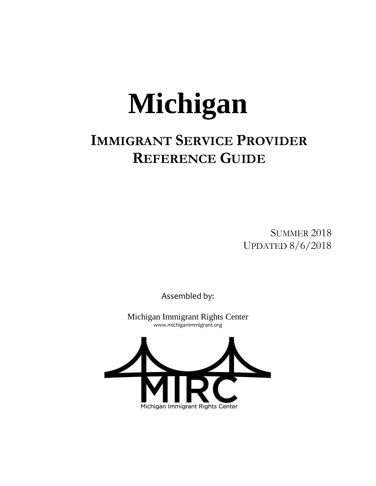# **Michigan**

# **IMMIGRANT SERVICE PROVIDER REFERENCE GUIDE**

SUMMER 2018 UPDATED 8/6/2018

Assembled by:

Michigan Immigrant Rights Center www.michiganimmigrant.org

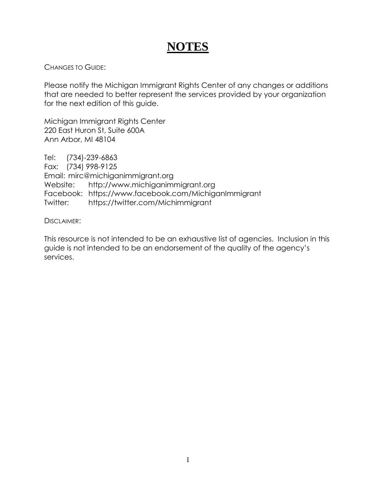# **NOTES**

CHANGES TO GUIDE:

Please notify the Michigan Immigrant Rights Center of any changes or additions that are needed to better represent the services provided by your organization for the next edition of this guide.

Michigan Immigrant Rights Center 220 East Huron St, Suite 600A Ann Arbor, MI 48104

Tel: (734)-239-6863 Fax: (734) 998-9125 Email: mirc@michiganimmigrant.org Website: http://www.michiganimmigrant.org Facebook: https://www.facebook.com/MichiganImmigrant Twitter: https://twitter.com/Michimmigrant

DISCI AIMER:

This resource is not intended to be an exhaustive list of agencies. Inclusion in this guide is not intended to be an endorsement of the quality of the agency's services.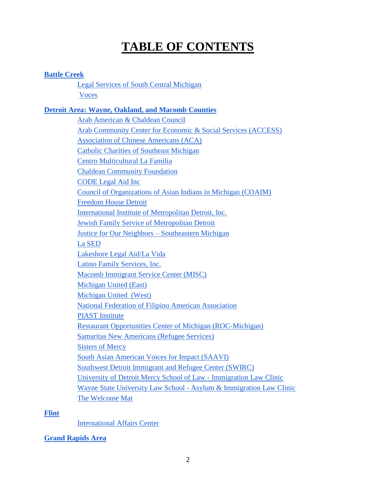# **TABLE OF CONTENTS**

# **[Battle Creek](#page-5-0)**

[Legal Services of South Central Michigan](#page-5-1) [Voces](#page-5-2)

# **[Detroit Area: Wayne, Oakland, and Macomb Counties](#page-5-3)**

[Arab American & Chaldean Council](#page-5-4) [Arab Community Center for Economic & Social Services \(ACCESS\)](#page-5-5) [Association of Chinese Americans \(ACA\)](#page-5-6) Catholic Charities of Southeast Michigan [Centro Multicultural La Familia](#page-6-0) [Chaldean Community Foundation](#page-6-1) CODE Legal Aid Inc [Council of Organizations of Asian Indians in Michigan \(COAIM\)](#page-6-2) [Freedom House Detroit](#page-6-3) [International Institute of Metropolitan Detroit, Inc.](#page-7-0) [Jewish Family Service of Metropolitan Detroit](#page-7-1) [Justice for Our Neighbors –](#page-7-2) Southeastern Michigan [La SED](#page-7-3) [Lakeshore Legal Aid/La Vida](#page-7-4) [Latino Family Services, Inc.](#page-7-5) Macomb Immigrant Service Center (MISC) Michigan United (East) [Michigan United \(West\)](#page-8-0) National Federation of Filipino American Association PIAST Institute [Restaurant Opportunities Center of Michigan \(ROC-Michigan\)](#page-9-0) Samaritas New Americans (Refugee Services) Sisters of Mercy South Asian American Voices for Impact (SAAVI) Southwest Detroit Immigrant and Refugee Center (SWIRC) University of Detroit Mercy School of Law - Immigration Law Clinic [Wayne State University Law School -](#page-9-1) Asylum & Immigration Law Clinic [The Welcome Mat](#page-10-0)

# **[Flint](#page-10-1)**

[International Affairs Center](#page-10-2)

# **[Grand Rapids Area](#page-10-3)**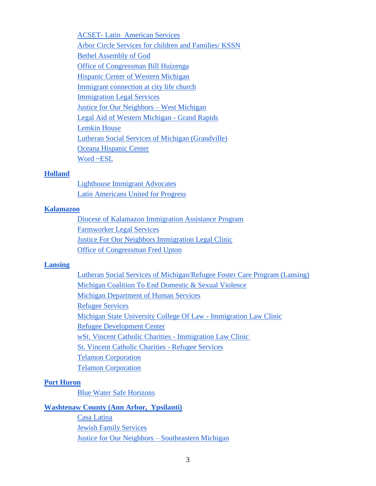ACSET- [Latin American Services](#page-10-4) [Arbor Circle Services for children and Families/ KSSN](#page-10-5) [Bethel Assembly of God](#page-10-6) [Office of Congressman Bill Huizenga](#page-10-7) [Hispanic Center of Western Michigan](#page-11-0) [Immigrant connection at city life church](#page-11-1) [Immigration Legal Services](#page-11-2) [Justice for Our Neighbors –](#page-11-3) West Michigan [Legal Aid of Western Michigan -](#page-11-4) Grand Rapids [Lemkin House](#page-12-0) [Lutheran Social Services of](#page-12-1) Michigan (Grandville) [Oceana Hispanic Center](#page-12-2) [Word ~ESL](#page-12-3)

#### **[Holland](#page-12-4)**

[Lighthouse Immigrant Advocates](#page-12-5) [Latin Americans United for Progress](#page-13-0)

#### **[Kalamazoo](#page-13-1)**

[Diocese of Kalamazoo Immigration Assistance Program](#page-13-2) [Farmworker Legal Services](#page-13-3) Justice For Our Neighbors Immigration Legal Clinic [Office of Congressman Fred Upton](#page-14-0)

#### **[Lansing](#page-14-1)**

[Lutheran Social Services of Michigan/Refugee Foster Care Program \(Lansing\)](#page-14-2) [Michigan Coalition To End Domestic & Sexual Violence](#page-14-3) [Michigan Department of Human Services](#page-14-4) [Refugee Services](#page-14-4) [Michigan State University College Of Law -](#page-14-5) Immigration Law Clinic [Refugee Development Center](#page-15-0) [wSt. Vincent Catholic Charities -](#page-15-1) Immigration Law Clinic [St. Vincent Catholic Charities -](#page-15-2) Refugee Services [Telamon Corporation](#page-15-3) [Telamon Corporation](#page-15-4)

#### **[Port Huron](#page-15-5)**

[Blue Water Safe Horizons](#page-15-6)

#### **[Washtenaw County \(Ann Arbor, Ypsilanti\)](#page-16-0)**

[Casa Latina](#page-16-1) [Jewish Family Services](#page-16-2) [Justice for Our Neighbors –](#page-16-3) Southeastern Michigan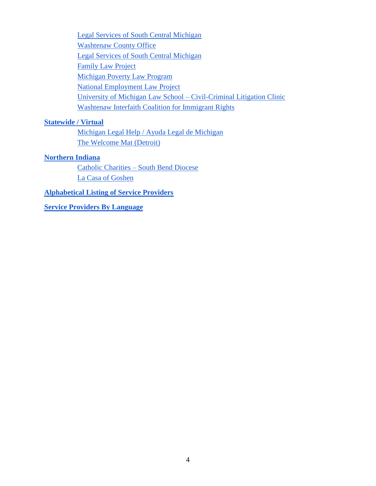[Legal Services of South Central Michigan](#page-16-4) [Washtenaw County Office](#page-16-4) Legal Services [of South Central Michigan](#page-16-5) [Family Law Project](#page-16-5) [Michigan Poverty Law Program](#page-16-6) [National Employment Law Project](#page-17-0) [University of Michigan Law School –](#page-17-1) Civil-Criminal Litigation Clinic [Washtenaw Interfaith Coalition for Immigrant Rights](#page-17-2)

# **Statewide / Virtual**

[Michigan Legal Help / Ayuda Legal de Michigan](#page-17-3) [The Welcome Mat \(Detroit\)](#page-17-4)

## **[Northern Indiana](#page-17-5)**

Catholic Charities – [South Bend Diocese](#page-17-6) [La Casa of Goshen](#page-17-7)

**[Alphabetical Listing of Service Providers](#page-18-0)**

**[Service Providers By Language](#page-18-1)**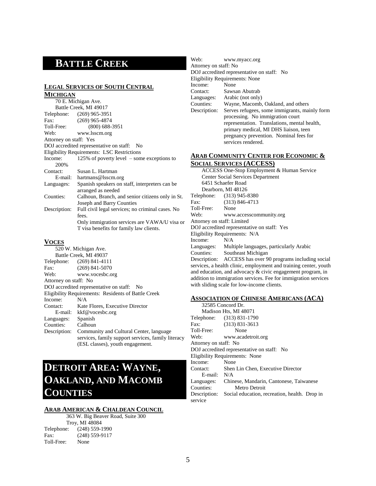# <span id="page-5-0"></span>**BATTLE CREEK**

#### <span id="page-5-1"></span>**LEGAL SERVICES OF SOUTH CENTRAL MICHIGAN**

|                        | 70 E. Michigan Ave.                               |
|------------------------|---------------------------------------------------|
|                        | Battle Creek, MI 49017                            |
|                        | Telephone: (269) 965-3951                         |
| $\mathbf{Fax:}$        | $(269)$ 965-4874                                  |
| Toll-Free:             | $(800)$ 688-3951                                  |
| Web:                   | www.lsscm.org                                     |
| Attorney on staff: Yes |                                                   |
|                        | DOJ accredited representative on staff: No        |
|                        | <b>Eligibility Requirements: LSC Restrictions</b> |
| Income:                | 125% of poverty level $\sim$ some exceptions to   |
| 200%                   |                                                   |
| Contact:               | Susan L. Hartman                                  |
|                        | E-mail: hartmans@lsscm.org                        |
| Languages:             | Spanish speakers on staff, interpreters can be    |
|                        | arranged as needed                                |
| Counties:              | Calhoun, Branch, and senior citizens only in St.  |
|                        | Joseph and Barry Counties                         |
| Description:           | Full civil legal services; no criminal cases. No  |
|                        | fees.                                             |
|                        | Only immigration services are VAWA/U visa or      |
|                        | T visa benefits for family law clients.           |
| <b>VOCES</b>           |                                                   |

#### <span id="page-5-2"></span>**VOCES**

|                       | 520 W. Michigan Ave.                                |
|-----------------------|-----------------------------------------------------|
|                       | Battle Creek, MI 49037                              |
|                       | Telephone: (269) 841-4111                           |
| Fax:                  | $(269)$ 841-5070                                    |
| Web:                  | www.vocesbc.org                                     |
| Attorney on staff: No |                                                     |
|                       | DOJ accredited representative on staff: No          |
|                       | Eligibility Requirements: Residents of Battle Creek |
| Income:               | N/A                                                 |
| Contact:              | Kate Flores, Executive Director                     |
|                       | E-mail: kkf@vocesbc.org                             |
| Languages:            | Spanish                                             |
| Counties:             | Calhoun                                             |
| Description:          | Community and Cultural Center, language             |
|                       | services, family support services, family literacy  |
|                       | (ESL classes), youth engagement.                    |

# <span id="page-5-3"></span>**DETROIT AREA: WAYNE, OAKLAND, AND MACOMB COUNTIES**

#### <span id="page-5-4"></span>**ARAB AMERICAN & CHALDEAN COUNCIL**

|            | 363 W. Big Beaver Road, Suite 300 |
|------------|-----------------------------------|
|            | <b>Troy, MI 48084</b>             |
|            | Telephone: (248) 559-1990         |
| Fax:       | $(248)$ 559-9117                  |
| Toll-Free: | None                              |
|            |                                   |

| Web:                  | www.myacc.org                                 |
|-----------------------|-----------------------------------------------|
| Attorney on staff: No |                                               |
|                       | DOJ accredited representative on staff: No    |
|                       | <b>Eligibility Requirements: None</b>         |
| Income:               | None                                          |
|                       | Contact: Sawsan Abutrab                       |
|                       | Languages: Arabic (not only)                  |
| Counties:             | Wayne, Macomb, Oakland, and others            |
| Description:          | Serves refugees, some immigrants, mainly form |
|                       | processing. No immigration court              |
|                       | representation. Translations, mental health,  |
|                       | primary medical, MI DHS liaison, teen         |
|                       | pregnancy prevention. Nominal fees for        |
|                       | services rendered.                            |

#### <span id="page-5-5"></span>**ARAB COMMUNITY CENTER FOR ECONOMIC & SOCIAL SERVICES (ACCESS)**

|                                                                | ACCESS One-Stop Employment & Human Service                       |  |
|----------------------------------------------------------------|------------------------------------------------------------------|--|
| <b>Center Social Services Department</b>                       |                                                                  |  |
|                                                                | 6451 Schaefer Road                                               |  |
|                                                                | Dearborn, MI 48126                                               |  |
|                                                                | Telephone: (313) 945-8380                                        |  |
| Fax:                                                           | $(313) 846 - 4713$                                               |  |
| Toll-Free: None                                                |                                                                  |  |
| Web:                                                           | www.accesscommunity.org                                          |  |
| Attorney on staff: Limited                                     |                                                                  |  |
|                                                                | DOJ accredited representative on staff: Yes                      |  |
|                                                                | Eligibility Requirements: N/A                                    |  |
| Income: $N/A$                                                  |                                                                  |  |
|                                                                | Languages: Multiple languages, particularly Arabic               |  |
|                                                                | Counties: Southeast Michigan                                     |  |
|                                                                | Description: ACCESS has over 90 programs including social        |  |
|                                                                | services, a health clinic, employment and training center, youth |  |
|                                                                | and education, and advocacy $\&$ civic engagement program, in    |  |
| addition to immigration services. Fee for immigration services |                                                                  |  |
|                                                                | with sliding scale for low-income clients.                       |  |

#### <span id="page-5-6"></span>**ASSOCIATION OF CHINESE AMERICANS (ACA)**

|                       | 32585 Concord Dr.                             |
|-----------------------|-----------------------------------------------|
|                       | Madison Hts, MI 48071                         |
|                       | Telephone: (313) 831-1790                     |
| $\text{Fax}:$         | $(313) 831 - 3613$                            |
| Toll-Free:            | None                                          |
| Web:                  | www.acadetroit.org                            |
| Attorney on staff: No |                                               |
|                       | DOJ accredited representative on staff: No    |
|                       | Eligibility Requirements: None                |
| Income:               | None                                          |
| Contact:              | Shen Lin Chen, Executive Director             |
| $E$ -mail: $N/A$      |                                               |
| Languages:            | Chinese, Mandarin, Cantonese, Taiwanese       |
| Counties:             | Metro Detroit                                 |
| Description:          | Social education, recreation, health. Drop in |
| service               |                                               |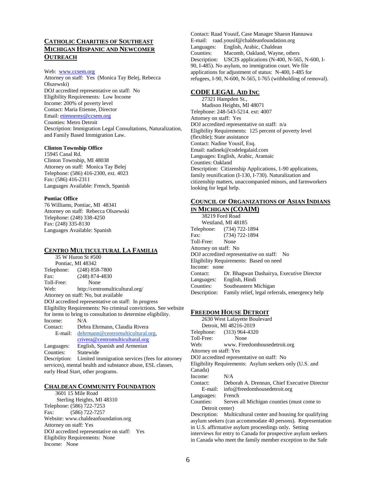#### **CATHOLIC CHARITIES OF SOUTHEAST MICHIGAN HISPANIC AND NEWCOMER OUTREACH**

#### Web: [www.ccsem.org](http://www.ccsem.org/)

Attorney on staff: Yes (Monica Tay Belej, Rebecca Olszewski) DOJ accredited representative on staff: No Eligibility Requirements: Low Income Income: 200% of poverty level Contact: Maria Etienne, Director Email: [etiennemy@ccsem.org](mailto:etiennemy@ccsem.org) Counties: Metro Detroit Description: Immigration Legal Consultations, Naturalization, and Family Based Immigration Law.

#### **Clinton Township Office**

15945 Canal Rd. Clinton Township, MI 48038 Attorney on staff: Monica Tay Belej Telephone: (586) 416-2300, ext. 4023 Fax: (586) 416-2311 Languages Available: French, Spanish

#### **Pontiac Office**

76 Williams, Pontiac, MI 48341 Attorney on staff: Rebecca Olszewski Telephone: (248) 338-4250 Fax: (248) 335-8130 Languages Available: Spanish

#### <span id="page-6-0"></span>**CENTRO MULTICULTURAL LA FAMILIA**

35 W Huron St #500 Pontiac, MI 48342 Telephone: (248) 858-7800 Fax: (248) 874-4830 Toll-Free: None Web: http://centromulticultural.org/ Attorney on staff: No, but available DOJ accredited representative on staff: In progress Eligibility Requirements: No criminal convictions. See website for items to bring to consultation to determine eligibility. Income: N/A Contact: Debra Ehrmann, Claudia Rivera E-mail: [dehrmann@centromulticultural.org,](mailto:dehrmann@centromulticultural.org) [crivera@centromulticultural.org](mailto:crivera@centromulticultural.org) Languages: English, Spanish and Armenian Counties: Statewide Description: Limited immigration services (fees for attorney services), mental health and substance abuse, ESL classes, early Head Start, other programs.

#### <span id="page-6-1"></span>**CHALDEAN COMMUNITY FOUNDATION**

3601 15 Mile Road Sterling Heights, MI 48310 Telephone: (586) 722-7253 Fax: (586) 722-7257 Website: www.chaldeanfoundation.org Attorney on staff: Yes DOJ accredited representative on staff: Yes Eligibility Requirements: None Income: None

Contact: Raad Yousif, Case Manager Sharon Hannawa E-mail: raad.yousif@chaldeanfoundation.org Languages: English, Arabic, Chaldean Counties: Macomb, Oakland, Wayne, others Description: USCIS applications (N-400, N-565, N-600, I-90, I-485). No asylum, no immigration court. We file applications for adjustment of status: N-400, I-485 for refugees, I-90, N-600, N-565, I-765 (withholding of removal).

#### **CODE LEGAL AID INC**

 27321 Hampden St., Madison Heights, MI 48071 Telephone: 248-543-5214. ext: 4007 Attorney on staff: Yes DOJ accredited representative on staff: n/a Eligibility Requirements: 125 percent of poverty level (flexible); State assistance Contact: Nadine Yousif, Esq. Email: nadinek@codelegalaid.com Languages: English, Arabic, Aramaic Counties: Oakland Description: Citizenship Applications, 1-90 applications, family reunification (I-130, I-730). Naturalization and citizenship matters, unaccompanied minors, and farmworkers looking for legal help.

#### <span id="page-6-2"></span>**COUNCIL OF ORGANIZATIONS OF ASIAN INDIANS IN MICHIGAN (COAIM)**

38219 Ford Road Westland, MI 48185 Telephone: (734) 722-1894 Fax: (734) 722-1894 Toll-Free: None Attorney on staff: No DOJ accredited representative on staff: No Eligibility Requirements: Based on need Income: none Contact: Dr. Bhagwan Dashairya, Executive Director Languages: English, Hindi Counties: Southeastern Michigan Description: Family relief, legal referrals, emergency help

#### <span id="page-6-3"></span>**FREEDOM HOUSE DETROIT**

2630 West Lafayette Boulevard Detroit, MI 48216-2019 Telephone: (313) 964-4320 Toll-Free: None Web: www. Freedomhousedetroit.org Attorney on staff: Yes DOJ accredited representative on staff: No Eligibility Requirements: Asylum seekers only (U.S. and Canada) Income: N/A Contact: Deborah A. Drennan, Chief Executive Director E-mail: info@freedomhousedetroit.org Languages: French Counties: Serves all Michigan counties (must come to Detroit center) Description: Multicultural center and housing for qualifying asylum seekers (can accommodate 40 persons). Representation in U.S. affirmative asylum proceedings only. Setting interviews for entry to Canada for prospective asylum seekers in Canada who meet the family member exception to the Safe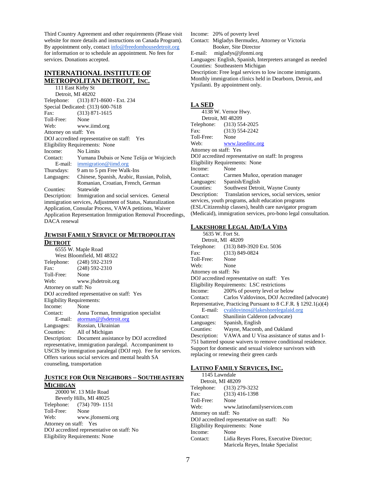Third Country Agreement and other requirements (Please visit website for more details and instructions on Canada Program). By appointment only, contact info@freedomhousedetroit.org for information or to schedule an appointment. No fees for services. Donations accepted.

#### <span id="page-7-0"></span>**INTERNATIONAL INSTITUTE OF METROPOLITAN DETROIT, INC.**

111 East Kirby St Detroit, MI 48202 Telephone: (313) 871-8600 - Ext. 234 Special Dedicated: (313) 600-7618 Fax: (313) 871-1615 Toll-Free: None Web: www.iimd.org Attorney on staff: Yes DOJ accredited representative on staff: Yes Eligibility Requirements: None Income: No Limits Contact: Yumana Dubais or Nene Tešija or Wojciech E-mail: [immigration@iimd.org](mailto:immigration@iimd.org) Thursdays: 9 am to 5 pm Free Walk-Ins Languages: Chinese, Spanish, Arabic, Russian, Polish, Romanian, Croatian, French, German Counties: Statewide Description: Immigration and social services. General immigration services, Adjustment of Status, Naturalization Application, Consular Process, VAWA petitions, Waiver Application Representation Immigration Removal Proceedings, DACA renewal

#### <span id="page-7-1"></span>**JEWISH FAMILY SERVICE OF METROPOLITAN DETROIT**

6555 W. Maple Road West Bloomfield, MI 48322 Telephone: (248) 592-2319 Fax: (248) 592-2310 Toll-Free: None Web: www.jfsdetroit.org Attorney on staff: No DOJ accredited representative on staff: Yes Eligibility Requirements: Income: None Contact: Anna Torman, Immigration specialist E-mail: [atorman@jfsdetroit.org](mailto:atorman@jfsdetroit.org) Languages: Russian, Ukrainian Counties: All of Michigan Description: Document assistance by DOJ accredited representative, immigration paralegal. Accompaniment to USCIS by immigration paralegal (DOJ rep). Fee for services. Offers various social services and mental health SA counseling, transportation

#### <span id="page-7-2"></span>**JUSTICE FOR OUR NEIGHBORS – SOUTHEASTERN MICHIGAN**

20000 W. 13 Mile Road Beverly Hills, MI 48025 Telephone: (734) 709- 1151 Toll-Free: None Web: www.jfonsemi.org Attorney on staff: Yes DOJ accredited representative on staff: No Eligibility Requirements: None

Income: 20% of poverty level

Contact: Migladys Bermudez, Attorney or Victoria Booker, Site Director

E-mail: migladys@jfonmi.org

Languages: English, Spanish, Interpreters arranged as needed Counties: Southeastern Michigan

Description: Free legal services to low income immigrants. Monthly immigration clinics held in Dearborn, Detroit, and Ypsilanti. By appointment only.

#### <span id="page-7-3"></span>**LA SED**

|                                                                | 4138 W. Vernor Hwy.                                        |  |
|----------------------------------------------------------------|------------------------------------------------------------|--|
| Detroit, MI 48209                                              |                                                            |  |
|                                                                | Telephone: (313) 554-2025                                  |  |
| Fax:                                                           | $(313)$ 554-2242                                           |  |
| Toll-Free: None                                                |                                                            |  |
| Web:                                                           | www.lasedinc.org                                           |  |
| Attorney on staff: Yes                                         |                                                            |  |
|                                                                | DOJ accredited representative on staff: In progress        |  |
|                                                                | Eligibility Requirements: None                             |  |
| Income:                                                        | None                                                       |  |
| Contact:                                                       | Carmen Muñoz, operation manager                            |  |
|                                                                | Languages: Spanish/English                                 |  |
|                                                                | Counties: Southwest Detroit, Wayne County                  |  |
|                                                                | Description: Translation services, social services, senior |  |
|                                                                | services, youth programs, adult education programs         |  |
|                                                                | (ESL/Citizenship classes), health care navigator program   |  |
| (Medicaid), immigration services, pro-bono legal consultation. |                                                            |  |
|                                                                |                                                            |  |

#### <span id="page-7-4"></span>**LAKESHORE LEGAL AID/LA VIDA**

| 5635 W. Fort St.                                             |                                                                     |  |
|--------------------------------------------------------------|---------------------------------------------------------------------|--|
|                                                              | Detroit, MI 48209                                                   |  |
|                                                              | Telephone: (313) 849-3920 Ext. 5036                                 |  |
| $\text{Fax}:$                                                | $(313) 849 - 0824$                                                  |  |
| Toll-Free: None                                              |                                                                     |  |
| Web:<br>None                                                 |                                                                     |  |
| Attorney on staff: No                                        |                                                                     |  |
|                                                              | DOJ accredited representative on staff: Yes                         |  |
| Eligibility Requirements: LSC restrictions                   |                                                                     |  |
| Income:                                                      | 200% of poverty level or below                                      |  |
| Contact:                                                     | Carlos Valdovinos, DOJ Accredited (advocate)                        |  |
|                                                              | Representative, Practicing Pursuant to $8$ C.F.R. $\S$ 1292.1(a)(4) |  |
|                                                              | E-mail: cvaldovinos@lakeshorelegalaid.org                           |  |
|                                                              | Contact: Shanilinin Calderon (advocate)                             |  |
|                                                              | Languages: Spanish, English                                         |  |
|                                                              | Counties: Wayne, Macomb, and Oakland                                |  |
|                                                              | Description: VAWA and U Visa assistance of status and I-            |  |
| 751 battered spouse waivers to remove conditional residence. |                                                                     |  |
| Support for domestic and sexual violence survivors with      |                                                                     |  |
|                                                              | replacing or renewing their green cards                             |  |

#### <span id="page-7-5"></span>**LATINO FAMILY SERVICES, INC.**

| 1145 Lawndale         |                                            |
|-----------------------|--------------------------------------------|
| Detroit, MI 48209     |                                            |
|                       | Telephone: (313) 279-3232                  |
| Fax:                  | $(313)$ 416-1398                           |
| Toll-Free:            | None                                       |
| Web:                  | www.latinofamilyservices.com               |
| Attorney on staff: No |                                            |
|                       | DOJ accredited representative on staff: No |
|                       | Eligibility Requirements: None             |
| Income:               | None                                       |
| Contact:              | Lidia Reyes Flores, Executive Director;    |
|                       | Maricela Reyes, Intake Specialist          |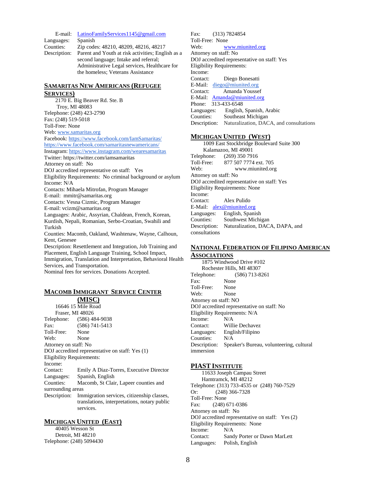E-mail: [LatinoFamilyServices1145@gmail.com](mailto:LatinoFamilyServices1145@gmail.com) Languages: Spanish Counties: Zip codes: 48210, 48209, 48216, 48217 Description: Parent and Youth at risk activities; English as a second language; Intake and referral; Administrative Legal services, Healthcare for the homeless; Veterans Assistance

#### **SAMARITAS NEW AMERICANS (REFUGEE SERVICES)**

2170 E. Big Beaver Rd. Ste. B Troy, MI 48083 Telephone: (248) 423-2790 Fax: (248) 519-5018 Toll-Free: None Web[: www.samaritas.org](http://www.samaritas.org/) Facebook[: https://www.facebook.com/IamSamaritas/](https://www.facebook.com/IamSamaritas/) <https://www.facebook.com/samaritasnewamericans/> Instagram[: https://www.instagram.com/wearesamaritas](https://www.instagram.com/wearesamaritas) Twitter: https://twitter.com/iamsamaritas Attorney on staff: No DOJ accredited representative on staff: Yes Eligibility Requirements: No criminal background or asylum Income: N/A Contacts: Mihaela Mitrofan, Program Manager E-mail: mmitr@samaritas.org Contacts: Vesna Cizmic, Program Manager E-mail: vcizm@samaritas.org Languages: Arabic, Assyrian, Chaldean, French, Korean, Kurdish, Nepali, Romanian, Serbo-Croatian, Swahili and Turkish Counties: Macomb, Oakland, Washtenaw, Wayne, Calhoun, Kent, Genesee Description: Resettlement and Integration, Job Training and Placement, English Language Training, School Impact, Immigration, Translation and Interpretation, Behavioral Health

Services, and Transportation.

Nominal fees for services. Donations Accepted.

# **MACOMB IMMIGRANT SERVICE CENTER**

**(MISC)** 16646 15 Mile Road Fraser, MI 48026 Telephone: (586) 484-9038 Fax: (586) 741-5413 Toll-Free: None Web: None Attorney on staff: No DOJ accredited representative on staff: Yes (1) Eligibility Requirements: Income: Contact: Emily A Diaz-Torres, Executive Director Languages: Spanish, English Counties: Macomb, St Clair, Lapeer counties and surrounding areas Description: Immigration services, citizenship classes, translations, interpretations, notary public services.

#### <span id="page-8-0"></span>**MICHIGAN UNITED (EAST)**

40405 Wesson St Detroit, MI 48210 Telephone: (248) 5094430 Fax: (313) 7824854 Toll-Free: None Web: [www.miunited.org](http://www.miunited.org/) Attorney on staff: No DOJ accredited representative on staff: Yes Eligibility Requirements: Income: Contact: Diego Bonesatti E-Mail: [diego@miunited.org](mailto:diego@miunited.org) Contact: Amanda Youssef E-Mail: [Amanda@miunited.org](mailto:Amanda@miunited.org) Phone: 313-433-6548 Languages: English, Spanish, Arabic Counties: Southeast Michigan Description: Naturalization, DACA, and consultations

#### **MICHIGAN UNITED (WEST)**

 1009 East Stockbridge Boulevard Suite 300 Kalamazoo, MI 49001 Telephone: (269) 350 7916 Toll-Free: 877 507 7774 ext. 705 Web: www.miunited.org Attorney on staff: No DOJ accredited representative on staff: Yes Eligibility Requirements: None Income: Contact: Alex Pulido E-Mail: [alex@miunited.org](mailto:alex@miunited.org) Languages: English, Spanish Counties: Southwest Michigan Description: Naturalization, DACA, DAPA, and consultations

#### **NATIONAL FEDERATION OF FILIPINO AMERICAN ASSOCIATIONS**

1875 Windwood Drive #102 Rochester Hills, MI 48307 Telephone: (586) 713-8261 Fax: None Toll-Free: None Web: None Attorney on staff: NO DOJ accredited representative on staff: No Eligibility Requirements: N/A Income: N/A Contact: Willie Dechavez Languages: English/Filipino Counties: N/A Description: Speaker's Bureau, volunteering, cultural immersion

#### **PIAST INSTITUTE**

11633 Joseph Campau Street Hamtramck, MI 48212 Telephone: (313) 733-4535 or (248) 760-7529 Or: (248) 366-7328 Toll-Free: None Fax: (248) 671-0386 Attorney on staff: No DOJ accredited representative on staff: Yes (2) Eligibility Requirements: None Income: N/A Contact: Sandy Porter or Dawn MarLett Languages: Polish, English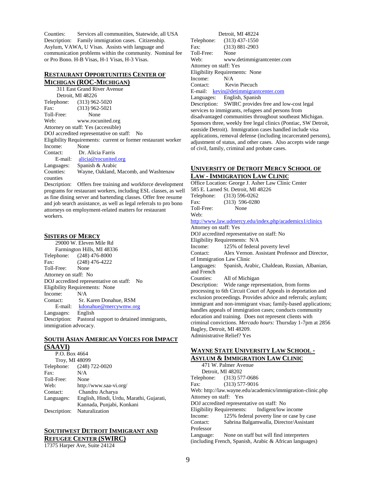Counties: Services all communities, Statewide, all USA Description: Family immigration cases. Citizenship. Asylum, VAWA, U Visas. Assists with language and communication problems within the community. Nominal fee or Pro Bono. H-B Visas, H-1 Visas, H-3 Visas.

#### <span id="page-9-0"></span>**RESTAURANT OPPORTUNITIES CENTER OF MICHIGAN (ROC-MICHIGAN)**

311 East Grand River Avenue Detroit, MI 48226 Telephone: (313) 962-5020 Fax: (313) 962-5021 Toll-Free: None Web: www.rocunited.org Attorney on staff: Yes (accessible) DOJ accredited representative on staff: No Eligibility Requirements: current or former restaurant worker Income: None Contact: Dr. Alicia Farris E-mail: [alicia@rocunited.org](mailto:alicia@rocunited.org) Languages: Spanish & Arabic Counties: Wayne, Oakland, Macomb, and Washtenaw counties

Description: Offers free training and workforce development programs for restaurant workers, including ESL classes, as well as fine dining server and bartending classes. Offer free resume and job search assistance, as well as legal referrals to pro bono attorneys on employment-related matters for restaurant workers.

#### **SISTERS OF MERCY**

29000 W. Eleven Mile Rd Farmington Hills, MI 48336 Telephone: (248) 476-8000 Fax: (248) 476-4222 Toll-Free: None Attorney on staff: No DOJ accredited representative on staff: No Eligibility Requirements: None Income: N/A Contact: Sr. Karen Donahue, RSM E-mail: [kdonahue@mercywmw.org](mailto:kdonahue@mercywmw.org) Languages: English Description: Pastoral support to detained immigrants, immigration advocacy.

#### **SOUTH ASIAN AMERICAN VOICES FOR IMPACT (SAAVI)**

| P.O. Box 4664  |                                          |
|----------------|------------------------------------------|
| Troy, MI 48099 |                                          |
|                | Telephone: (248) 722-0020                |
| Fax:           | N/A                                      |
| Toll-Free:     | None                                     |
| Web:           | http://www.saa-vi.org/                   |
| Contact:       | Chandru Acharya                          |
| Languages:     | English, Hindi, Urdu, Marathi, Gujarati, |
|                | Kannada, Punjabi, Konkani                |
| Description:   | Naturalization                           |

# **SOUTHWEST DETROIT IMMIGRANT AND REFUGEE CENTER (SWIRC)**

17375 Harper Ave, Suite 24124

|                                                                 | Detroit, MI 48224                                        |  |
|-----------------------------------------------------------------|----------------------------------------------------------|--|
|                                                                 | Telephone: (313) 437-1550                                |  |
| Fax:                                                            | $(313) 881 - 2903$                                       |  |
| Toll-Free:                                                      | None                                                     |  |
| Web:                                                            | www.detimmigrantcenter.com                               |  |
| Attorney on staff: Yes                                          |                                                          |  |
|                                                                 | Eligibility Requirements: None                           |  |
| Income:                                                         | N/A                                                      |  |
| Contact:                                                        | Kevin Piecuch                                            |  |
|                                                                 | E-mail: kevin@detimmigrantcenter.com                     |  |
|                                                                 | Languages: English, Spanish                              |  |
|                                                                 | Description: SWIRC provides free and low-cost legal      |  |
|                                                                 | services to immigrants, refugees and persons from        |  |
|                                                                 | disadvantaged communities throughout southeast Michigan. |  |
| Sponsors three, weekly free legal clinics (Pontiac, SW Detroit, |                                                          |  |
| eastside Detroit). Immigration cases handled include visa       |                                                          |  |

applications, removal defense (including incarcerated persons), adjustment of status, and other cases. Also accepts wide range of civil, family, criminal and probate cases.

#### **UNIVERSITY OF DETROIT MERCY SCHOOL OF LAW - IMMIGRATION LAW CLINIC**

Office Location: George J. Asher Law Clinic Center 585 E. Larned St. Detroit, MI 48226 Telephone: (313) 596-0262 Fax: (313) 596-0280 Toll-Free: None Web: <http://www.law.udmercy.edu/index.php/academics1/clinics> Attorney on staff: Yes DOJ accredited representative on staff: No Eligibility Requirements: N/A Income: 125% of federal poverty level Contact: Alex Vernon. Assistant Professor and Director, of Immigration Law Clinic Languages: Spanish, Arabic, Chaldean, Russian, Albanian, and French Counties: All of Michigan Description: Wide range representation, from forms processing to 6th Circuit Court of Appeals in deportation and exclusion proceedings. Provides advice and referrals; asylum; immigrant and non-immigrant visas; family-based applications; handles appeals of immigration cases; conducts community education and training. Does not represent clients with criminal convictions. *Mercado hours:* Thursday 1-7pm at 2856 Bagley, Detroit, MI 48209. Administrative Relief? Yes

#### <span id="page-9-1"></span>**WAYNE STATE UNIVERSITY LAW SCHOOL - ASYLUM & IMMIGRATION LAW CLINIC**

471 W. Palmer Avenue Detroit, MI 48202 Telephone: (313) 577-0686 Fax: (313) 577-9016 Web: http://law.wayne.edu/academics/immigration-clinic.php Attorney on staff: Yes DOJ accredited representative on staff: No Eligibility Requirements: Indigent/low income Income: 125% federal poverty line or case by case<br>Contact: Sabrina Balgamwalla, Director/Assistant Sabrina Balgamwalla, Director/Assistant Professor Language: None on staff but will find interpreters (including French, Spanish, Arabic & African languages)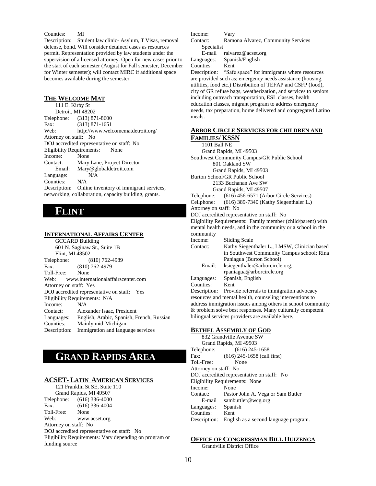#### Counties: MI

Description: Student law clinic- Asylum, T Visas, removal defense, bond. Will consider detained cases as resources permit. Representation provided by law students under the supervision of a licensed attorney. Open for new cases prior to the start of each semester (August for Fall semester, December for Winter semester); will contact MIRC if additional space becomes available during the semester.

#### <span id="page-10-0"></span>**THE WELCOME MAT**

111 E. Kirby St Detroit, MI 48202 Telephone: (313) 871-8600 Fax: (313) 871-1651 Web: http://www.welcomematdetroit.org/ Attorney on staff: No DOJ accredited representative on staff: No Eligibility Requirements: None Income: None Contact: Mary Lane, Project Director Email: Mary@globaldetroit.com Language: N/A Counties: N/A Description: Online inventory of immigrant services, networking, collaboration, capacity building, grants.

# <span id="page-10-1"></span>**FLINT**

#### <span id="page-10-2"></span>**INTERNATIONAL AFFAIRS CENTER**

GCCARD Building 601 N. Saginaw St., Suite 1B Flint, MI 48502 Telephone: (810) 762-4989 Fax: (810) 762-4979 Toll-Free: None Web: www.internationalaffairscenter.com Attorney on staff: Yes DOJ accredited representative on staff: Yes Eligibility Requirements: N/A Income: N/A Contact: Alexander Isaac, President Languages: English, Arabic, Spanish, French, Russian Counties: Mainly mid-Michigan Description: Immigration and language services

# <span id="page-10-3"></span>**GRAND RAPIDS AREA**

#### <span id="page-10-4"></span>**ACSET- LATIN AMERICAN SERVICES**

121 Franklin St SE, Suite 110 Grand Rapids, MI 49507 Telephone: (616) 336-4000 Fax: (616) 336-4004 Toll-Free: None Web: www.acset.org Attorney on staff: No DOJ accredited representative on staff: No Eligibility Requirements: Vary depending on program or funding source

Income: Vary Contact: Ramona Alvarez, Community Services Specialist

E-mail ralvarez@acset.org Languages: Spanish/English

Counties: Kent

Description: "Safe space" for immigrants where resources are provided such as; emergency needs assistance (housing, utilities, food etc.) Distribution of TEFAP and CSFP (food), city of GR refuse bags, weatherization, and services to seniors including outreach transportation, ESL classes, health education classes, migrant program to address emergency needs, tax preparation, home delivered and congregated Latino meals.

#### <span id="page-10-5"></span>**ARBOR CIRCLE SERVICES FOR CHILDREN AND FAMILIES/ KSSN**

1101 Ball NE Grand Rapids, MI 49503 Southwest Community Campus/GR Public School 801 Oakland SW Grand Rapids, MI 49503 Burton School/GR Public School 2133 Buchanan Ave SW Grand Rapids, MI 49507 Telephone: (616) 456-6571 (Arbor Circle Services) Cellphone: (616) 389-7340 (Kathy Siegenthaler L.) Attorney on staff: No DOJ accredited representative on staff: No Eligibility Requirements: Family member (child/parent) with mental health needs, and in the community or a school in the community Income: Sliding Scale Contact: Kathy Siegenthaler L., LMSW, Clinician based in Southwest Community Campus school; Rina Paniagua (Burton School) Email: ksiegenthaler@arborcircle.org, rpaniagua@arborcircle.org Languages: Spanish, English Counties: Kent Description: Provide referrals to immigration advocacy resources and mental health, counseling interventions to address immigration issues among others in school community & problem solve best responses. Many culturally competent bilingual services providers are available here.

#### <span id="page-10-6"></span>**BETHEL ASSEMBLY OF GOD**

832 Grandville Avenue SW Grand Rapids, MI 49503 Telephone: (616) 245-1658 Fax: (616) 245-1658 (call first) Toll-Free: None Attorney on staff: No DOJ accredited representative on staff: No Eligibility Requirements: None Income: None Contact: Pastor John A. Vega or Sam Butler E-mail sambuttler@wcg.org Languages: Spanish Counties: Kent Description: English as a second language program.

#### <span id="page-10-7"></span>**OFFICE OF CONGRESSMAN BILL HUIZENGA**

Grandville District Office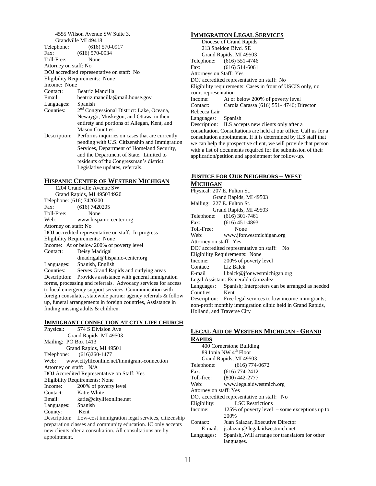4555 Wilson Avenue SW Suite 3, Grandville MI 49418 Telephone: (616) 570-0917 Fax: (616) 570-0934 Toll-Free: None Attorney on staff: No DOJ accredited representative on staff: No Eligibility Requirements: None Income: None Contact: Beatriz Mancilla Email: beatriz.mancilla@mail.house.gov Languages: Spanish Counties: 2<sup>nd</sup> Congressional District: Lake, Oceana, Newaygo, Muskegon, and Ottawa in their entirety and portions of Allegan, Kent, and Mason Counties. Description: Performs inquiries on cases that are currently pending with U.S. Citizenship and Immigration Services, Department of Homeland Security, and the Department of State. Limited to

#### <span id="page-11-0"></span>**HISPANIC CENTER OF WESTERN MICHIGAN**

Legislative updates, referrals.

residents of the Congressman's district.

1204 Grandville Avenue SW Grand Rapids, MI 495034920 Telephone: (616) 7420200 Fax: (616) 7420205 Toll-Free: None Web: www.hispanic-center.org Attorney on staff: No DOJ accredited representative on staff: In progress Eligibility Requirements: None Income: At or below 200% of poverty level Contact: Deisy Madrigal dmadrigal@hispanic-center.org Languages: Spanish, English Counties: Serves Grand Rapids and outlying areas Description: Provides assistance with general immigration forms, processing and referrals. Advocacy services for access to local emergency support services. Communication with foreign consulates, statewide partner agency referrals & follow up, funeral arrangements in foreign countries, Assistance in finding missing adults & children.

#### <span id="page-11-1"></span>**IMMIGRANT CONNECTION AT CITY LIFE CHURCH**

Physical: 574 S Division Ave Grand Rapids, MI 49503 Mailing: PO Box 1413 Grand Rapids, MI 49501 Telephone: [\(616\)260-1477](about:blank) Web: [www.citylifeonline.net/immigrant-connection](http://www.citylifeonline.net/immigrant-connection) Attorney on staff: N/A DOJ Accredited Representative on Staff: Yes Eligibility Requirements: None Income: 200% of poverty level Contact: Katie White Email: [katie@citylifeonline.net](mailto:katie@citylifeonline.net) Languages: Spanish County: Kent

Description: Low-cost immigration legal services, citizenship preparation classes and community education. IC only accepts new clients after a consultation. All consultations are by appointment.

#### <span id="page-11-2"></span>**IMMIGRATION LEGAL SERVICES**

Diocese of Grand Rapids 213 Sheldon Blvd. SE Grand Rapids, MI 49503 Telephone: (616) 551-4746 Fax: (616) 514-6061 Attorneys on Staff: Yes DOJ accredited representative on staff: No Eligibility requirements: Cases in front of USCIS only, no court representation Income: At or below 200% of poverty level Contact: Carola Carassa (616) 551- 4746; Director Rebecca Lair Languages: Spanish Description: ILS accepts new clients only after a consultation. Consultations are held at our office. Call us for a consultation appointment. If it is determined by ILS staff that we can help the prospective client, we will provide that person with a list of documents required for the submission of their

#### <span id="page-11-3"></span>**JUSTICE FOR OUR NEIGHBORS – WEST MICHIGAN**

application/petition and appointment for follow-up.

#### Physical: 207 E. Fulton St. Grand Rapids, MI 49503 Mailing: 227 E. Fulton St. Grand Rapids, MI 49503 Telephone: (616) 301-7461 Fax: (616) 451-4893 Toll-Free: None Web: www.jfonwestmichigan.org Attorney on staff: Yes DOJ accredited representative on staff: No Eligibility Requirements: None Income: 200% of poverty level Contact: Liz Balck E-mail l.balck@jfonwestmichigan.org Legal Assistant: Esmeralda Gonzalez Languages: Spanish; Interpreters can be arranged as needed Counties: Kent Description: Free legal services to low income immigrants; non-profit monthly immigration clinic held in Grand Rapids, Holland, and Traverse City

#### <span id="page-11-4"></span>**LEGAL AID OF WESTERN MICHIGAN - GRAND RAPIDS**

| 400 Cornerstone Building          |                                                    |  |
|-----------------------------------|----------------------------------------------------|--|
| 89 Ionia NW 4 <sup>th</sup> Floor |                                                    |  |
|                                   | Grand Rapids, MI 49503                             |  |
| Telephone:                        | $(616) 774 - 0672$                                 |  |
| Fax:                              | $(616) 774 - 2412$                                 |  |
|                                   | Toll-free: (800) 442-2777                          |  |
| Web:                              | www.legalaidwestmich.org                           |  |
| Attorney on staff: Yes            |                                                    |  |
|                                   | DOJ accredited representative on staff: No         |  |
| Eligibility:                      | <b>LSC</b> Restrictions                            |  |
| Income:                           | 125% of poverty level $\sim$ some exceptions up to |  |
|                                   | 200%                                               |  |
| Contact:                          | Juan Salazar, Executive Director                   |  |
| E-mail:                           | isalazar @ legalaidwestmich.net                    |  |
| Languages:                        | Spanish, Will arrange for translators for other    |  |
|                                   | languages.                                         |  |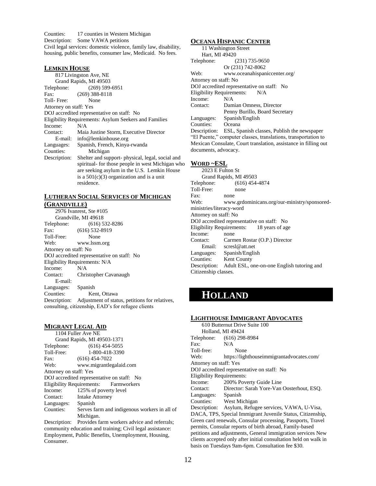Counties: 17 counties in Western Michigan Description: Some VAWA petitions Civil legal services: domestic violence, family law, disability, housing, public benefits, consumer law, Medicaid. No fees.

#### <span id="page-12-0"></span>**LEMKIN HOUSE**

817 Livingston Ave, NE Grand Rapids, MI 49503 Telephone: (269) 599-6951 Fax: (269) 388-8118 Toll- Free: None Attorney on staff: Yes DOJ accredited representative on staff: No Eligibility Requirements: Asylum Seekers and Families Income: N/A Contact: Maia Justine Storm, Executive Director E-mail: info@lemkinhouse.org Languages: Spanish, French, Kinya-rwanda Counties: Michigan Description: Shelter and support- physical, legal, social and spiritual- for those people in west Michigan who are seeking asylum in the U.S. Lemkin House is a  $501(c)(3)$  organization and is a unit residence.

#### <span id="page-12-1"></span>**LUTHERAN SOCIAL SERVICES OF MICHIGAN (GRANDVILLE)**

2976 Ivanrest, Ste #105 Grandville, MI 49618 Telephone: (616) 532-8286 Fax: (616) 532-8919 Toll-Free: None Web: www.lssm.org Attorney on staff: No DOJ accredited representative on staff: No Eligibility Requirements: N/A Income: N/A Contact: Christopher Cavanaugh E-mail: Languages: Spanish Counties: Kent, Ottawa Description: Adjustment of status, petitions for relatives, consulting, citizenship, EAD's for refugee clients

#### **MIGRANT LEGAL AID**

Consumer.

|                        | 1104 Fuller Ave NE                                        |
|------------------------|-----------------------------------------------------------|
|                        | Grand Rapids, MI 49503-1371                               |
| Telephone:             | $(616)$ 454-5055                                          |
| Toll-Free:             | 1-800-418-3390                                            |
| Fax:                   | $(616)$ 454-7022                                          |
| Web:                   | www.migrantlegalaid.com                                   |
| Attorney on staff: Yes |                                                           |
|                        | DOJ accredited representative on staff: No                |
|                        | Eligibility Requirements: Farmworkers                     |
| Income:                | 125% of poverty level                                     |
| Contact:               | <b>Intake Attorney</b>                                    |
| Languages: Spanish     |                                                           |
| Counties:              | Serves farm and indigenous workers in all of              |
|                        | Michigan.                                                 |
|                        | Description: Provides farm workers advice and referrals;  |
|                        | community education and training; Civil legal assistance: |

Employment, Public Benefits, Unemployment, Housing,

<span id="page-12-2"></span>**OCEANA HISPANIC CENTER**

| 11 Washington Street                                            |                                                          |  |
|-----------------------------------------------------------------|----------------------------------------------------------|--|
| Hart, MI 49420                                                  |                                                          |  |
| Telephone:                                                      | $(231)$ 735-9650                                         |  |
|                                                                 | Or (231) 742-8062                                        |  |
| Web:                                                            | www.oceanahispaniccenter.org/                            |  |
| Attorney on staff: No                                           |                                                          |  |
| DOJ accredited representative on staff: No                      |                                                          |  |
| Eligibility Requirements: N/A                                   |                                                          |  |
| Income:                                                         | N/A                                                      |  |
| Contact:                                                        | Damian Omness, Director                                  |  |
|                                                                 | Penny Burillo, Board Secretary                           |  |
|                                                                 | Languages: Spanish/English                               |  |
| Counties: Oceana                                                |                                                          |  |
|                                                                 | Description: ESL, Spanish classes, Publish the newspaper |  |
| "El Puente," computer classes, translations, transportation to  |                                                          |  |
| Mexican Consulate, Court translation, assistance in filling out |                                                          |  |
| documents, advocacy.                                            |                                                          |  |

#### <span id="page-12-3"></span>**WORD ~ESL**

2023 E Fulton St Grand Rapids, MI 49503 Telephone: (616) 454-4874 Toll-Free: none Fax: none Web: www.grdominicans.org/our-ministry/sponsoredministries/literacy-word Attorney on staff: No DOJ accredited representative on staff: No Eligibility Requirements: 18 years of age Income: none Contact: Carmen Rostar (O.P.) Director Email: scresl@att.net Languages: Spanish/English Counties: Kent County Description: Adult ESL, one-on-one English tutoring and Citizenship classes.

# <span id="page-12-4"></span>**HOLLAND**

#### <span id="page-12-5"></span>**LIGHTHOUSE IMMIGRANT ADVOCATES**

| 610 Butternut Drive Suite 100                                    |                                                      |
|------------------------------------------------------------------|------------------------------------------------------|
| Holland, MI 49424                                                |                                                      |
|                                                                  | Telephone: (616) 298-8984                            |
| Fax:                                                             | N/A                                                  |
| Toll-free:                                                       | None                                                 |
| Web:                                                             | https://lighthouseimmigrantadvocates.com/            |
| Attorney on staff: Yes                                           |                                                      |
| DOJ accredited representative on staff: No                       |                                                      |
| <b>Eligibility Requirements:</b>                                 |                                                      |
|                                                                  | Income: 200% Poverty Guide Line                      |
|                                                                  | Contact: Director: Sarah Yore-Van Oosterhout, ESO.   |
| Languages: Spanish                                               |                                                      |
|                                                                  | Counties: West Michigan                              |
|                                                                  | Description: Asylum, Refugee services, VAWA, U-Visa, |
| DACA, TPS, Special Immigrant Juvenile Status, Citizenship,       |                                                      |
| Green card renewals, Consular processing, Passports, Travel      |                                                      |
| permits, Consular reports of birth abroad, Family-based          |                                                      |
| petitions and adjustments, General immigration services New      |                                                      |
| clients accepted only after initial consultation held on walk in |                                                      |
| basis on Tuesdays 9am-6pm. Consultation fee \$30.                |                                                      |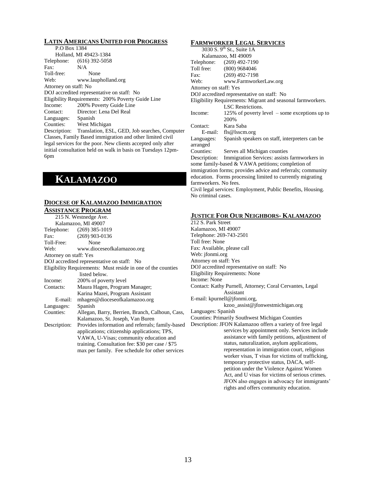#### <span id="page-13-0"></span>**LATIN AMERICANS UNITED FOR PROGRESS**

| P.O Box 1384                                                 |                                                              |
|--------------------------------------------------------------|--------------------------------------------------------------|
|                                                              | Holland, MI 49423-1384                                       |
|                                                              | Telephone: (616) 392-5058                                    |
| Fax:                                                         | N/A                                                          |
| Toll-free:                                                   | None                                                         |
| Web:                                                         | www.laupholland.org                                          |
| Attorney on staff: No                                        |                                                              |
|                                                              | DOJ accredited representative on staff: No                   |
| Eligibility Requirements: 200% Poverty Guide Line            |                                                              |
| Income:                                                      | 200% Poverty Guide Line                                      |
| Contact:                                                     | Director: Lena Del Real                                      |
| Languages: Spanish                                           |                                                              |
|                                                              | Counties: West Michigan                                      |
|                                                              | Description: Translation, ESL, GED, Job searches, Computer   |
|                                                              | Classes, Family Based immigration and other limited civil    |
|                                                              | legal services for the poor. New clients accepted only after |
| initial consultation held on walk in basis on Tuesdays 12pm- |                                                              |

# <span id="page-13-1"></span>**KALAMAZOO**

6pm

#### <span id="page-13-2"></span>**DIOCESE OF KALAMAZOO IMMIGRATION ASSISTANCE PROGRAM**

|                        | 215 N. Westnedge Ave.                                                                                                                                                                                                                               |
|------------------------|-----------------------------------------------------------------------------------------------------------------------------------------------------------------------------------------------------------------------------------------------------|
|                        | Kalamazoo, MI 49007                                                                                                                                                                                                                                 |
|                        | Telephone: (269) 385-1019                                                                                                                                                                                                                           |
| $\text{Fax}$ :         | $(269)$ 903-0136                                                                                                                                                                                                                                    |
| Toll-Free:             | None                                                                                                                                                                                                                                                |
| Web:                   | www.dioceseofkalamazoo.org                                                                                                                                                                                                                          |
| Attorney on staff: Yes |                                                                                                                                                                                                                                                     |
|                        | DOJ accredited representative on staff: No                                                                                                                                                                                                          |
|                        | Eligibility Requirements: Must reside in one of the counties                                                                                                                                                                                        |
|                        | listed below.                                                                                                                                                                                                                                       |
| Income:                | 200% of poverty level                                                                                                                                                                                                                               |
| Contacts:              | Maura Hagen, Program Manager;                                                                                                                                                                                                                       |
|                        | Karina Mazei, Program Assistant                                                                                                                                                                                                                     |
| E-mail:                | mhagen@dioceseofkalamazoo.org                                                                                                                                                                                                                       |
| Languages:             | Spanish                                                                                                                                                                                                                                             |
| Counties:              | Allegan, Barry, Berrien, Branch, Calhoun, Cass,                                                                                                                                                                                                     |
|                        | Kalamazoo, St. Joseph, Van Buren                                                                                                                                                                                                                    |
| Description:           | Provides information and referrals; family-based<br>applications; citizenship applications; TPS,<br>VAWA, U-Visas; community education and<br>training. Consultation fee: $$30$ per case / $$75$<br>max per family. Fee schedule for other services |
|                        |                                                                                                                                                                                                                                                     |

#### <span id="page-13-3"></span>**FARMWORKER LEGAL SERVICES**

| 3030 S. 9 <sup>th</sup> St., Suite 1A                       |                                                             |
|-------------------------------------------------------------|-------------------------------------------------------------|
| Kalamazoo, MI 49009                                         |                                                             |
|                                                             | Telephone: (269) 492-7190                                   |
|                                                             | Toll free: (800) 9684046                                    |
| Fax:                                                        | $(269)$ 492-7198                                            |
|                                                             | Web: www.FarmworkerLaw.org                                  |
| Attorney on staff: Yes                                      |                                                             |
| DOJ accredited representative on staff: No                  |                                                             |
|                                                             | Eligibility Requirements: Migrant and seasonal farmworkers. |
|                                                             | <b>LSC</b> Restrictions.                                    |
| Income:                                                     | 125% of poverty level $\sim$ some exceptions up to          |
|                                                             | 200%                                                        |
| Contact:                                                    | Kara Saba                                                   |
|                                                             | E-mail: fls@lsscm.org                                       |
| Languages:                                                  | Spanish speakers on staff, interpreters can be.             |
| arranged                                                    |                                                             |
| Counties:                                                   | Serves all Michigan counties                                |
|                                                             | Description: Immigration Services: assists farmworkers in   |
| some family-based & VAWA petitions; completion of           |                                                             |
| immigration forms; provides advice and referrals; community |                                                             |
|                                                             | education. Forms processing limited to currently migrating  |
| farmworkers. No fees.                                       |                                                             |
| Civil legal services: Employment, Public Benefits, Housing. |                                                             |
| No criminal cases.                                          |                                                             |
|                                                             |                                                             |

#### **JUSTICE FOR OUR NEIGHBORS- KALAMAZOO**

212 S. Park Street Kalamazoo, MI 49007 Telephone: 269-743-2501 Toll free: None Fax: Available, please call Web: jfonmi.org Attorney on staff: Yes DOJ accredited representative on staff: No Eligibility Requirements: None Income: None Contact: Kathy Purnell, Attorney; Coral Cervantes, Legal Assistant E-mail: kpurnell@jfonmi.org, kzoo\_assist@jfonwestmichigan.org

Languages: Spanish

Counties: Primarily Southwest Michigan Counties

Description: JFON Kalamazoo offers a variety of free legal services by appointment only. Services include assistance with family petitions, adjustment of status, naturalization, asylum applications, representation in immigration court, religious worker visas, T visas for victims of trafficking, temporary protective status, DACA, selfpetition under the Violence Against Women Act, and U visas for victims of serious crimes. JFON also engages in advocacy for immigrants' rights and offers community education.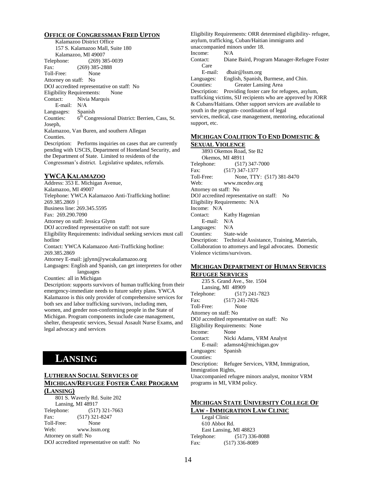#### <span id="page-14-0"></span>**OFFICE OF CONGRESSMAN FRED UPTON**

Kalamazoo District Office 157 S. Kalamazoo Mall, Suite 180 Kalamazoo, MI 49007 Telephone: (269) 385-0039 Fax: (269) 385-2888 Toll-Free: None Attorney on staff: No DOJ accredited representative on staff: No Eligibility Requirements: None Contact: Nivia Marquis E-mail: N/A Languages: Spanish Counties:  $6<sup>th</sup>$  Congressional District: Berrien, Cass, St. Joseph, Kalamazoo, Van Buren, and southern Allegan Counties. Description: Performs inquiries on cases that are currently pending with USCIS, Department of Homeland Security, and

the Department of State. Limited to residents of the Congressman's district. Legislative updates, referrals.

#### **YWCA KALAMAZOO**

Address: 353 E. Michigan Avenue, Kalamazoo, MI 49007 Telephone: YWCA Kalamazoo Anti-Trafficking hotline: 269.385.2869 | Business line: 269.345.5595 Fax: 269.290.7090 Attorney on staff: Jessica Glynn DOJ accredited representative on staff: not sure Eligibility Requirements: individual seeking services must call hotline Contact: YWCA Kalamazoo Anti-Trafficking hotline: 269.385.2869 Attorney E-mail: jglynn@ywcakalamazoo.org Languages: English and Spanish, can get interpreters for other languages

Counties: all in Michigan

Description: supports survivors of human trafficking from their emergency-immediate needs to future safety plans. YWCA Kalamazoo is this only provider of comprehensive services for both sex and labor trafficking survivors, including men, women, and gender non-conforming people in the State of Michigan. Program components include case management, shelter, therapeutic services, Sexual Assault Nurse Exams, and legal advocacy and services

# <span id="page-14-1"></span>**LANSING**

#### <span id="page-14-2"></span>**LUTHERAN SOCIAL SERVICES OF MICHIGAN/REFUGEE FOSTER CARE PROGRAM**

#### **(LANSING)**

801 S. Waverly Rd. Suite 202 Lansing, MI 48917 Telephone: (517) 321-7663 Fax: (517) 321-8247 Toll-Free: None Web: www.lssm.org Attorney on staff: No DOJ accredited representative on staff: No Eligibility Requirements: ORR determined eligibility- refugee, asylum, trafficking, Cuban/Haitian immigrants and unaccompanied minors under 18. Income: N/A Contact: Diane Baird, Program Manager-Refugee Foster Care E-mail: dbair@lssm.org Languages: English, Spanish, Burmese, and Chin. Counties: Greater Lansing Area Description: Providing foster care for refugees, asylum, trafficking victims, SIJ recipients who are approved by JORR & Cubans/Haitians. Other support services are available to youth in the program- coordination of legal services, medical, case management, mentoring, educational

support, etc.

#### <span id="page-14-3"></span>**MICHIGAN COALITION TO END DOMESTIC & SEXUAL VIOLENCE**

3893 Okemos Road, Ste B2 Okemos, MI 48911 Telephone: (517) 347-7000 Fax: (517) 347-1377 Toll-Free: None, TTY: (517) 381-8470 Web: www.mcedsv.org Attorney on staff: No DOJ accredited representative on staff: No Eligibility Requirements: N/A Income: N/A Contact: Kathy Hagenian E-mail: N/A Languages: N/A Counties: State-wide Description: Technical Assistance, Training, Materials, Collaboration to attorneys and legal advocates. Domestic Violence victims/survivors.

#### <span id="page-14-4"></span>**MICHIGAN DEPARTMENT OF HUMAN SERVICES REFUGEE SERVICES**

235 S. Grand Ave., Ste. 1504 Lansing, MI 48909 Telephone: (517) 241-7823 Fax: (517) 241-7826 Toll-Free: None Attorney on staff: No DOJ accredited representative on staff: No Eligibility Requirements: None Income: None Contact: Nicki Adams, VRM Analyst E-mail: adamsn4@michigan.gov Languages: Spanish Counties: Description: Refugee Services, VRM, Immigration, Immigration Rights, Unaccompanied refugee minors analyst, monitor VRM programs in MI, VRM policy.

#### <span id="page-14-5"></span>**MICHIGAN STATE UNIVERSITY COLLEGE OF LAW - IMMIGRATION LAW CLINIC**

Legal Clinic 610 Abbot Rd. East Lansing, MI 48823 Telephone: (517) 336-8088 Fax: (517) 336-8089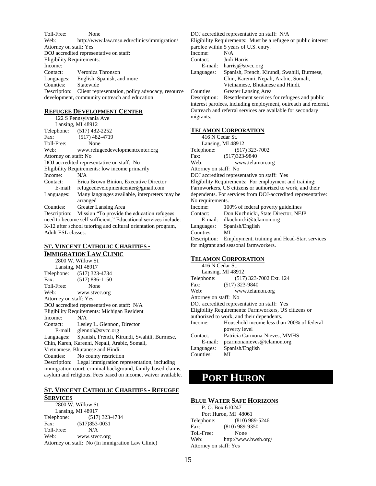Toll-Free: None Web: http://www.law.msu.edu/clinics/immigration/ Attorney on staff: Yes DOJ accredited representative on staff: Eligibility Requirements: Income: Contact: Veronica Thronson Languages: English, Spanish, and more Counties: Statewide Description: Client representation, policy advocacy, resource development, community outreach and education

#### <span id="page-15-0"></span>**REFUGEE DEVELOPMENT CENTER**

122 S Pennsylvania Ave Lansing, MI 48912 Telephone: (517) 482-2252 Fax: (517) 482-4719 Toll-Free: None Web: www.refugeedevelopmentcenter.org Attorney on staff: No DOJ accredited representative on staff: No Eligibility Requirements: low income primarily Income: N/A Contact: Erica Brown Binion, Executive Director E-mail: refugeedevelopmentcenter@gmail.com Languages: Many languages available, interpreters may be arranged Counties: Greater Lansing Area Description: Mission "To provide the education refugees need to become self-sufficient." Educational services include: K-12 after school tutoring and cultural orientation program, Adult ESL classes.

#### <span id="page-15-1"></span>**ST. VINCENT CATHOLIC CHARITIES - IMMIGRATION LAW CLINIC**

2800 W. Willow St. Lansing, MI 48917 Telephone: (517) 323-4734 Fax: (517) 886-1150 Toll-Free: None Web: www.stvcc.org Attorney on staff: Yes DOJ accredited representative on staff: N/A Eligibility Requirements: Michigan Resident Income: N/A Contact: Lesley L. Glennon, Director E-mail: glennol@stvcc.org Languages: Spanish, French, Kirundi, Swahili, Burmese, Chin, Karen, Karenni, Nepali, Arabic, Somali, Vietnamese, Bhutanese and Hindi. Counties: No county restriction Description: Legal immigration representation, including immigration court, criminal background, family-based claims, asylum and religious. Fees based on income, waiver available.

#### <span id="page-15-2"></span>**ST. VINCENT CATHOLIC CHARITIES - REFUGEE SERVICES**

2800 W. Willow St. Lansing, MI 48917 Telephone: (517) 323-4734 Fax: (517)853-0031 Toll-Free: N/A Web: www.stvcc.org Attorney on staff: No (In immigration Law Clinic)

#### DOJ accredited representative on staff: N/A

Eligibility Requirements: Must be a refugee or public interest parolee within 5 years of U.S. entry. Income: N/A Contact: Judi Harris E-mail: harrisj@stvcc.org Languages: Spanish, French, Kirundi, Swahili, Burmese, Chin, Karenni, Nepali, Arabic, Somali, Vietnamese, Bhutanese and Hindi. Counties: Greater Lansing Area Description: Resettlement services for refugees and public interest parolees, including employment, outreach and referral. Outreach and referral services are available for secondary migrants.

#### <span id="page-15-3"></span>**TELAMON CORPORATION**

| 416 N Cedar St.                                              |                                                           |
|--------------------------------------------------------------|-----------------------------------------------------------|
| Lansing, MI 48912                                            |                                                           |
|                                                              | Telephone: (517) 323-7002                                 |
| Fax:                                                         | $(517)323 - 9840$                                         |
| Web:                                                         | www.telamon.org                                           |
| Attorney on staff: No                                        |                                                           |
| DOJ accredited representative on staff: Yes                  |                                                           |
| Eligibility Requirements: For employment and training:       |                                                           |
| Farmworkers, US citizens or authorized to work, and their    |                                                           |
| dependents. For services from DOJ-accredited representative: |                                                           |
| No requirements.                                             |                                                           |
| Income:                                                      | 100% of federal poverty guidelines                        |
|                                                              | Contact: Don Kuchnicki, State Director, NFJP              |
|                                                              | E-mail: dkuchnicki@telamon.org                            |
|                                                              | Languages: Spanish/English                                |
| Counties:                                                    | MI                                                        |
|                                                              | Description: Employment, training and Head-Start services |
| for migrant and seasonal farmworkers.                        |                                                           |

#### <span id="page-15-4"></span>**TELAMON CORPORATION**

| 416 N Cedar St.                                       |  |
|-------------------------------------------------------|--|
| Lansing, MI 48912                                     |  |
| (517) 323-7002 Ext. 124                               |  |
| $(517)$ 323-9840                                      |  |
| www.telamon.org                                       |  |
| Attorney on staff: No                                 |  |
| DOJ accredited representative on staff: Yes           |  |
| Eligibility Requirements: Farmworkers, US citizens or |  |
| authorized to work, and their dependents.             |  |
| Household income less than 200% of federal            |  |
| poverty level                                         |  |
| Patricia Carmona-Nieves, MMHS                         |  |
| pcarmonanieves@telamon.org                            |  |
| Spanish/English                                       |  |
| МI                                                    |  |
|                                                       |  |

# <span id="page-15-5"></span>**PORT HURON**

#### <span id="page-15-6"></span>**BLUE WATER SAFE HORIZONS**

P. O. Box 610247 Port Huron, MI 48061 Telephone: (810) 989-5246 Fax: (810) 989-9350 Toll-Free: None Web: http://www.bwsh.org/ Attorney on staff: Yes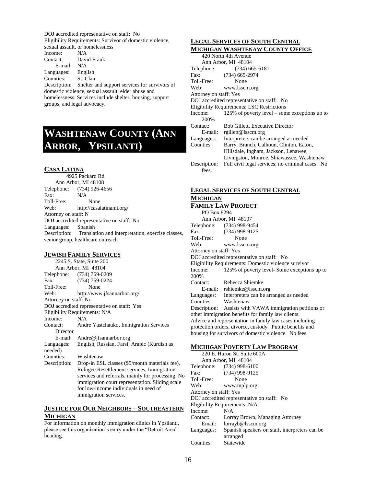DOJ accredited representative on staff: No Eligibility Requirements: Survivor of domestic violence, sexual assault, or homelessness

Income: N/A Contact: David Frank E-mail: N/A Languages: English

Counties: St. Clair

Description: Shelter and support services for survivors of domestic violence, sexual assault, elder abuse and homelessness. Services include shelter, housing, support groups, and legal advocacy.

# <span id="page-16-0"></span>**WASHTENAW COUNTY (ANN ARBOR, YPSILANTI)**

#### <span id="page-16-1"></span>**CASA LATINA**

 4925 Packard Rd. Ann Arbor, MI 48108 Telephone: (734) 926-4656 Fax: N/A Toll-Free: None Web: http://casalatinami.org/ Attorney on staff: N DOJ accredited representative on staff: No Languages: Spanish Description: Translation and interpretation, exercise classes, senior group, healthcare outreach

#### <span id="page-16-2"></span>**JEWISH FAMILY SERVICES**

2245 S. State, Suite 200 Ann Arbor, MI 48104 Telephone: (734) 769-0209 Fax: (734) 769-0224<br>Toll-Free: None Toll-Free: Web: http://www.jfsannarbor.org/ Attorney on staff: No DOJ accredited representative on staff: Yes Eligibility Requirements: N/A Income: N/A Contact: Andre Yastchauko, Immigration Services Director E-mail: Andre@jfsannarbor.org Languages: English, Russian, Farsi, Arabic (Kurdish as needed) Counties: Washtenaw Description: Drop-in ESL classes (\$5/month materials fee), Refugee Resettlement services, Immigration services and referrals, mainly for processing. No immigration court representation. Sliding scale for low-income individuals in need of

#### <span id="page-16-3"></span>**JUSTICE FOR OUR NEIGHBORS – SOUTHEASTERN MICHIGAN**

immigration services.

For information on monthly immigration clinics in Ypsilanti, please see this organization's entry under the "Detroit Area" heading.

#### <span id="page-16-4"></span>**LEGAL SERVICES OF SOUTH CENTRAL MICHIGAN WASHTENAW COUNTY OFFICE**

|                                                   | мненноли и лянтейл и соопт гогтеев               |  |
|---------------------------------------------------|--------------------------------------------------|--|
| 420 North 4th Avenue                              |                                                  |  |
| Ann Arbor, MI 48104                               |                                                  |  |
| Telephone:                                        | $(734)$ 665-6181                                 |  |
| Fax:                                              | $(734)$ 665-2974                                 |  |
| Toll-Free:                                        | None                                             |  |
| Web:                                              | www.lsscm.org                                    |  |
| Attorney on staff: Yes                            |                                                  |  |
|                                                   | DOJ accredited representative on staff: No       |  |
| <b>Eligibility Requirements: LSC Restrictions</b> |                                                  |  |
| Income:                                           | 125% of poverty level – some exceptions up to    |  |
| 200%                                              |                                                  |  |
| Contact:                                          | Bob Gillett, Executive Director                  |  |
| E-mail:                                           | rgillett@lsscm.org                               |  |
| Languages:                                        | Interpreters can be arranged as needed           |  |
| Counties:                                         | Barry, Branch, Calhoun, Clinton, Eaton,          |  |
|                                                   | Hillsdale, Ingham, Jackson, Lenawee,             |  |
|                                                   | Livingston, Monroe, Shiawassee, Washtenaw        |  |
| Description:                                      | Full civil legal services; no criminal cases. No |  |
| fees.                                             |                                                  |  |

# **LEGAL SERVICES OF SOUTH CENTRAL MICHIGAN**

#### <span id="page-16-5"></span>**FAMILY LAW PROJECT**

| PO Box 8294                                              |                                                         |
|----------------------------------------------------------|---------------------------------------------------------|
| Ann Arbor, MI 48107                                      |                                                         |
|                                                          | Telephone: (734) 998-9454                               |
| Fax:                                                     | (734) 998-9125                                          |
| Toll-Free:                                               | None                                                    |
|                                                          | Web: www.lsscm.org                                      |
| Attorney on staff: Yes                                   |                                                         |
| DOJ accredited representative on staff: No               |                                                         |
| Eligibility Requirements: Domestic violence survivor     |                                                         |
| Income:                                                  | 125% of poverty level-Some exceptions up to             |
| 200\%                                                    |                                                         |
| Contact:                                                 | Rebecca Shiemke                                         |
|                                                          | E-mail: rshiemke@lsscm.org                              |
|                                                          | Languages: Interpreters can be arranged as needed       |
| Counties: Washtenaw                                      |                                                         |
|                                                          | Description: Assists with VAWA immigration petitions or |
| other immigration benefits for family law clients.       |                                                         |
| Advice and representation in family law cases including  |                                                         |
| protection orders, divorce, custody. Public benefits and |                                                         |
| housing for survivors of domestic violence. No fees.     |                                                         |
|                                                          |                                                         |

#### <span id="page-16-6"></span>**MICHIGAN POVERTY LAW PROGRAM**

| 220 E. Huron St. Suite 600A                |                                                 |
|--------------------------------------------|-------------------------------------------------|
|                                            | Ann Arbor, MI 48104                             |
|                                            | Telephone: (734) 998-6100                       |
| Fax:                                       | (734) 998-9125                                  |
| Toll-Free:                                 | None                                            |
| Web:                                       | www.mplp.org                                    |
| Attorney on staff: Yes                     |                                                 |
| DOJ accredited representative on staff: No |                                                 |
| Eligibility Requirements: N/A              |                                                 |
| Income:                                    | N/A                                             |
| Contact:                                   | Lorray Brown, Managing Attorney                 |
| Email:                                     | lorrayb@lsscm.org                               |
| Languages:                                 | Spanish speakers on staff, interpreters can be. |
|                                            | arranged                                        |
| Counties:                                  | Statewide                                       |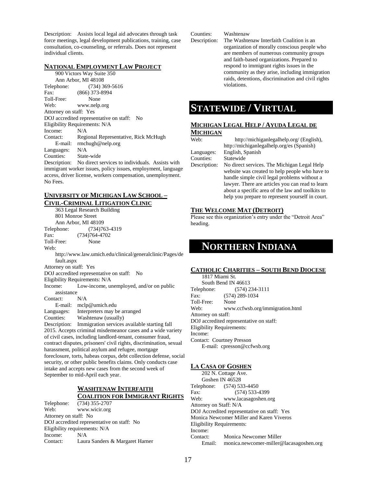Description: Assists local legal aid advocates through task force meetings, legal development publications, training, case consultation, co-counseling, or referrals. Does not represent individual clients.

#### <span id="page-17-0"></span>**NATIONAL EMPLOYMENT LAW PROJECT**

900 Victors Way Suite 350 Ann Arbor, MI 48108 Telephone: (734) 369-5616 Fax: (866) 373-8994 Toll-Free: None Web: www.nelp.org Attorney on staff: Yes DOJ accredited representative on staff: No Eligibility Requirements: N/A Income: N/A Contact: Regional Representative, Rick McHugh E-mail: rmchugh@nelp.org Languages: N/A Counties: State-wide Description: No direct services to individuals. Assists with

immigrant worker issues, policy issues, employment, language access, driver license, workers compensation, unemployment. No Fees.

# <span id="page-17-1"></span>**UNIVERSITY OF MICHIGAN LAW SCHOOL –**

**CIVIL-CRIMINAL LITIGATION CLINIC** 363 Legal Research Building 801 Monroe Street Ann Arbor, MI 48109 Telephone: (734)763-4319 Fax: (734)764-4702 Toll-Free: None Web: http://www.law.umich.edu/clinical/generalclinic/Pages/de fault.aspx Attorney on staff: Yes DOJ accredited representative on staff: No Eligibility Requirements: N/A Income: Low-income, unemployed, and/or on public assistance Contact: N/A E-mail: mclp@umich.edu Languages: Interpreters may be arranged Counties: Washtenaw (usually) Description: Immigration services available starting fall 2015. Accepts criminal misdemeanor cases and a wide variety of civil cases, including landlord-tenant, consumer fraud, contract disputes, prisoners' civil rights, discrimination, sexual harassment, political asylum and refugee, mortgage foreclosure, torts, habeas corpus, debt collection defense, social security, or other public benefits claims. Only conducts case intake and accepts new cases from the second week of September to mid-April each year.

#### **WASHTENAW INTERFAITH COALITION FOR IMMIGRANT RIGHTS**

<span id="page-17-2"></span>Telephone: (734) 355-2707 Web: www.wicir.org Attorney on staff: No DOJ accredited representative on staff: No Eligibility requirements: N/A Income: N/A Contact: Laura Sanders & Margaret Harner Counties: Washtenaw

Description: The Washtenaw Interfaith Coalition is an organization of morally conscious people who are members of numerous community groups and faith-based organizations. Prepared to respond to immigrant rights issues in the community as they arise, including immigration raids, detentions, discrimination and civil rights violations.

# **STATEWIDE / VIRTUAL**

# <span id="page-17-3"></span>**MICHIGAN LEGAL HELP / AYUDA LEGAL DE**

#### **MICHIGAN** Web: http://michiganlegalhelp.org/ (English), http://michiganlegalhelp.org/es (Spanish) Languages: English, Spanish Counties: Statewide Description: No direct services. The Michigan Legal Help website was created to help people who have to handle simple civil legal problems without a lawyer. There are articles you can read to learn about a specific area of the law and toolkits to help you prepare to represent yourself in court.

#### <span id="page-17-4"></span>**THE WELCOME MAT (DETROIT)**

Please see this organization's entry under the "Detroit Area" heading.

# <span id="page-17-5"></span>**NORTHERN INDIANA**

#### <span id="page-17-6"></span>**CATHOLIC CHARITIES – SOUTH BEND DIOCESE**

1817 Miami St. South Bend IN 46613 Telephone: (574) 234-3111 Fax: (574) 289-1034 Toll-Free: None Web: www.ccfwsb.org/immigration.html Attorney on staff: DOJ accredited representative on staff: Eligibility Requirements: Income: Contact: Courtney Presson E-mail: cpresson@ccfwsb.org

#### <span id="page-17-7"></span>**LA CASA OF GOSHEN**

202 N. Cottage Ave. Goshen IN 46528 Telephone: (574) 533-4450 Fax: (574) 533-4399 Web: www.lacasagoshen.org Attorney on Staff: N/A DOJ Accredited representative on staff: Yes Monica Newcomer Miller and Karen Viveros Eligibility Requirements: Income: Contact: Monica Newcomer Miller Email: monica.newcomer-miller@lacasagoshen.org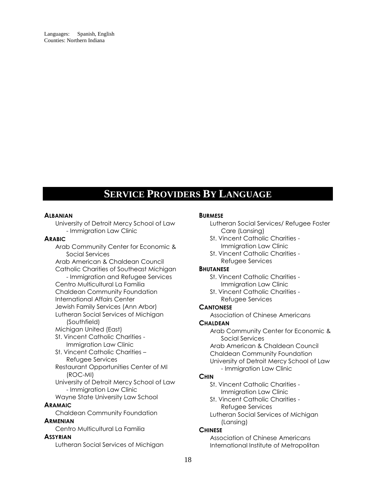<span id="page-18-0"></span>Languages: Spanish, English Counties: Northern Indiana

# **SERVICE PROVIDERS BY LANGUAGE**

#### <span id="page-18-1"></span>**ALBANIAN**

University of Detroit Mercy School of Law - Immigration Law Clinic

#### **ARABIC**

Arab Community Center for Economic & Social Services

Arab American & Chaldean Council Catholic Charities of Southeast Michigan

#### - Immigration and Refugee Services Centro Multicultural La Familia Chaldean Community Foundation

International Affairs Center

Jewish Family Services (Ann Arbor)

Lutheran Social Services of Michigan (Southfield)

Michigan United (East)

- St. Vincent Catholic Charities Immigration Law Clinic
- St. Vincent Catholic Charities Refugee Services
- Restaurant Opportunities Center of MI (ROC-MI)
- University of Detroit Mercy School of Law - Immigration Law Clinic

Wayne State University Law School

#### **ARAMAIC**

Chaldean Community Foundation

# **ARMENIAN**

Centro Multicultural La Familia

# **ASSYRIAN**

Lutheran Social Services of Michigan

#### **BURMESE**

- Lutheran Social Services/ Refugee Foster Care (Lansing)
- St. Vincent Catholic Charities Immigration Law Clinic
- St. Vincent Catholic Charities Refugee Services

#### **BHUTANESE**

St. Vincent Catholic Charities - Immigration Law Clinic

St. Vincent Catholic Charities - Refugee Services

# **CANTONESE**

Association of Chinese Americans

#### **CHALDEAN**

Arab Community Center for Economic & Social Services

Arab American & Chaldean Council Chaldean Community Foundation University of Detroit Mercy School of Law - Immigration Law Clinic

# **CHIN**

- St. Vincent Catholic Charities Immigration Law Clinic
- St. Vincent Catholic Charities Refugee Services
- Lutheran Social Services of Michigan (Lansing)

# **CHINESE**

Association of Chinese Americans International Institute of Metropolitan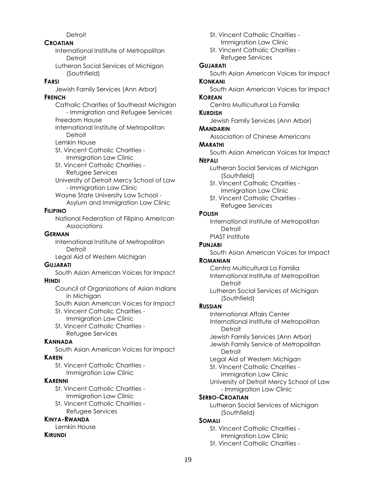# **Detroit**

## **CROATIAN**

International Institute of Metropolitan **Detroit** 

Lutheran Social Services of Michigan (Southfield)

## **FARSI**

Jewish Family Services (Ann Arbor)

# **FRENCH**

Catholic Charities of Southeast Michigan - Immigration and Refugee Services Freedom House International Institute of Metropolitan Detroit Lemkin House

St. Vincent Catholic Charities - Immigration Law Clinic

St. Vincent Catholic Charities - Refugee Services

University of Detroit Mercy School of Law - Immigration Law Clinic

Wayne State University Law School - Asylum and Immigration Law Clinic

# **FILIPINO**

National Federation of Filipino American Associations

# **GERMAN**

International Institute of Metropolitan **Detroit** 

Legal Aid of Western Michigan

# **GUJARATI**

South Asian American Voices for Impact **HINDI**

Council of Organizations of Asian Indians in Michigan

South Asian American Voices for Impact

- St. Vincent Catholic Charities Immigration Law Clinic
- St. Vincent Catholic Charities Refugee Services

# **KANNADA**

South Asian American Voices for Impact

# **KAREN**

St. Vincent Catholic Charities - Immigration Law Clinic

# **KARENNI**

St. Vincent Catholic Charities - Immigration Law Clinic

St. Vincent Catholic Charities - Refugee Services

# **KINYA-RWANDA**

Lemkin House

# **KIRUNDI**

- St. Vincent Catholic Charities Immigration Law Clinic
- St. Vincent Catholic Charities Refugee Services

# **GUJARATI**

South Asian American Voices for Impact

# **KONKANI**

South Asian American Voices for Impact

#### **KOREAN**

Centro Multicultural La Familia

# **KURDISH**

Jewish Family Services (Ann Arbor)

# **MANDARIN**

Association of Chinese Americans

# **MARATHI**

South Asian American Voices for Impact

## **NEPALI**

Lutheran Social Services of Michigan (Southfield)

- St. Vincent Catholic Charities Immigration Law Clinic
- St. Vincent Catholic Charities Refugee Services

# **POLISH**

International Institute of Metropolitan **Detroit** PIAST Institute

# **PUNJABI**

South Asian American Voices for Impact

# **ROMANIAN**

Centro Multicultural La Familia International Institute of Metropolitan **Detroit** 

Lutheran Social Services of Michigan (Southfield)

# **RUSSIAN**

International Affairs Center International Institute of Metropolitan Detroit

- Jewish Family Services (Ann Arbor)
- Jewish Family Service of Metropolitan **Detroit**
- Legal Aid of Western Michigan
- St. Vincent Catholic Charities Immigration Law Clinic
- University of Detroit Mercy School of Law - Immigration Law Clinic

# **SERBO-CROATIAN**

Lutheran Social Services of Michigan (Southfield)

# **SOMALI**

St. Vincent Catholic Charities - Immigration Law Clinic

St. Vincent Catholic Charities -